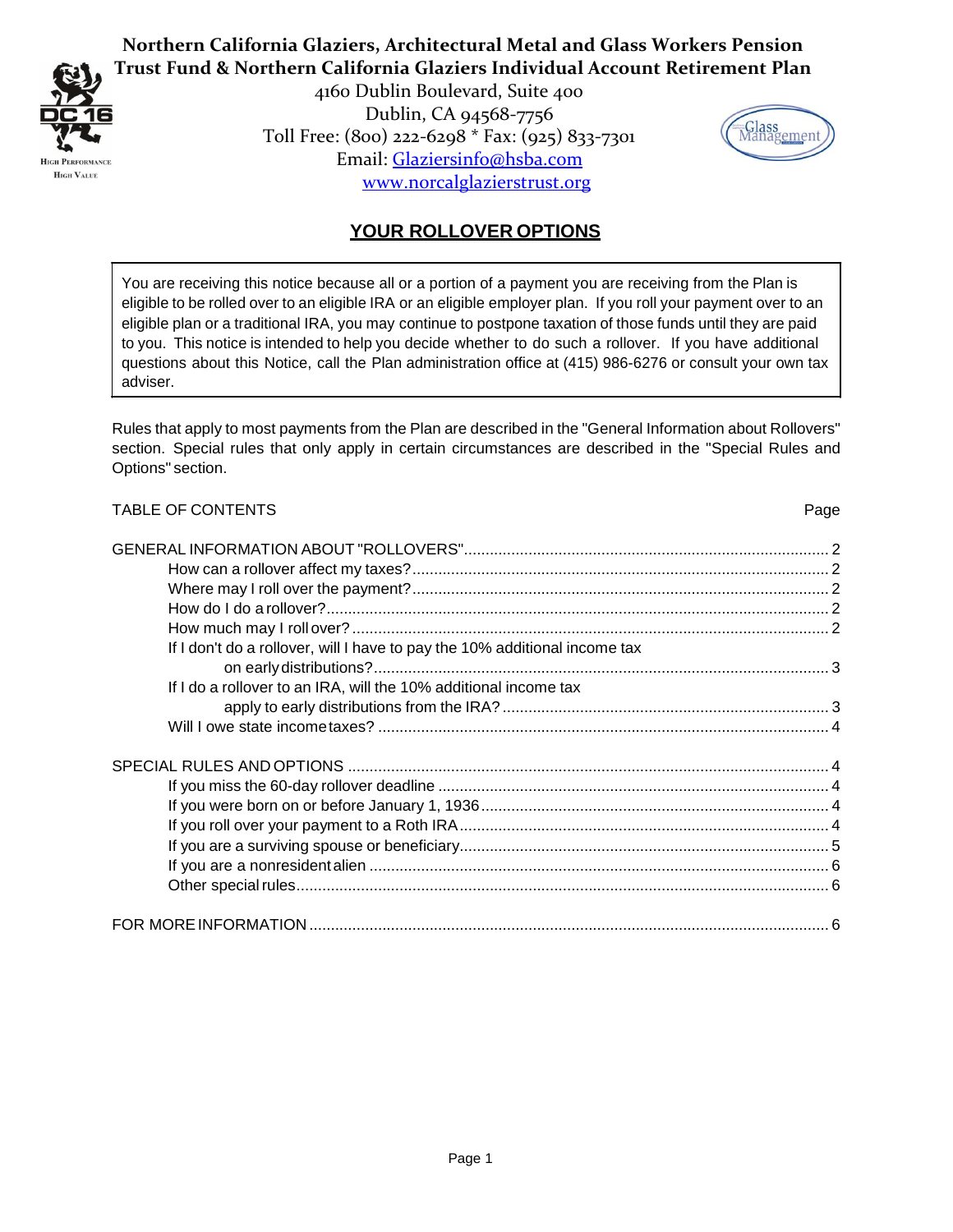

4160 Dublin Boulevard, Suite 400 Dublin, CA 94568-7756 Toll Free: (800) 222-6298 \* Fax: (925) 833-7301 Email: Glaziersinfo@hsba.com www.norcalglazierstrust.org



# **YOUR ROLLOVER OPTIONS**

You are receiving this notice because all or a portion of a payment you are receiving from the Plan is eligible to be rolled over to an eligible IRA or an eligible employer plan. If you roll your payment over to an eligible plan or a traditional IRA, you may continue to postpone taxation of those funds until they are paid to you. This notice is intended to help you decide whether to do such a rollover. If you have additional questions about this Notice, call the Plan administration office at (415) 986-6276 or consult your own tax adviser.

Rules that apply to most payments from the Plan are described in the "General Information about Rollovers" section. Special rules that only apply in certain circumstances are described in the "Special Rules and Options" section.

# TABLE OF CONTENTS Page 2014 12:00 Page 2014 12:00 Page 2014 12:00 Page 2014 12:00 Page 2014 12:00 Page 2014 12:00 Page 2014 12:00 Page 2014 12:00 Page 2014 12:00 Page 2014 12:00 Page 2014 12:00 Page 2014 12:00 Page 2014 12 GENERAL INFORMATION ABOUT ["ROLLOVERS".....................................................................................](#page-1-0) 2 How can a rollover affect my [taxes?.................................................................................................](#page-1-1) 2 Where may I roll over the [payment?.................................................................................................](#page-1-2) 2 How do I do a [rollover?.....................................................................................................................](#page-1-3) 2 How much may I rollover? [...............................................................................................................](#page-1-4) 2 If I don't do a rollover, will I have to pay the 10% additional income tax on earlydistributions?.......................................................................................................... 3 If I do a rollover to an IRA, will the 10% additional income tax apply to early distributions from the IRA? ............................................................................ 3 Will I owe state incometaxes? [.........................................................................................................](#page-3-0) 4 SPECIAL RULES AND OPTIONS [................................................................................................................](#page-3-1) 4 If you miss the 60-day rollover deadline [...........................................................................................](#page-3-2) 4 If you were born on or before January 1, [1936.................................................................................](#page-3-3) 4 If you roll over your payment to a Roth [IRA......................................................................................](#page-3-4) 4 If you are a surviving spouse or [beneficiary......................................................................................](#page-4-0) 5 If you are a nonresidentalien [...........................................................................................................](#page-5-0) 6 [Other specialrules............................................................................................................................](#page-5-1) 6 FOR MOREINFORMATION [.........................................................................................................................](#page-5-2) 6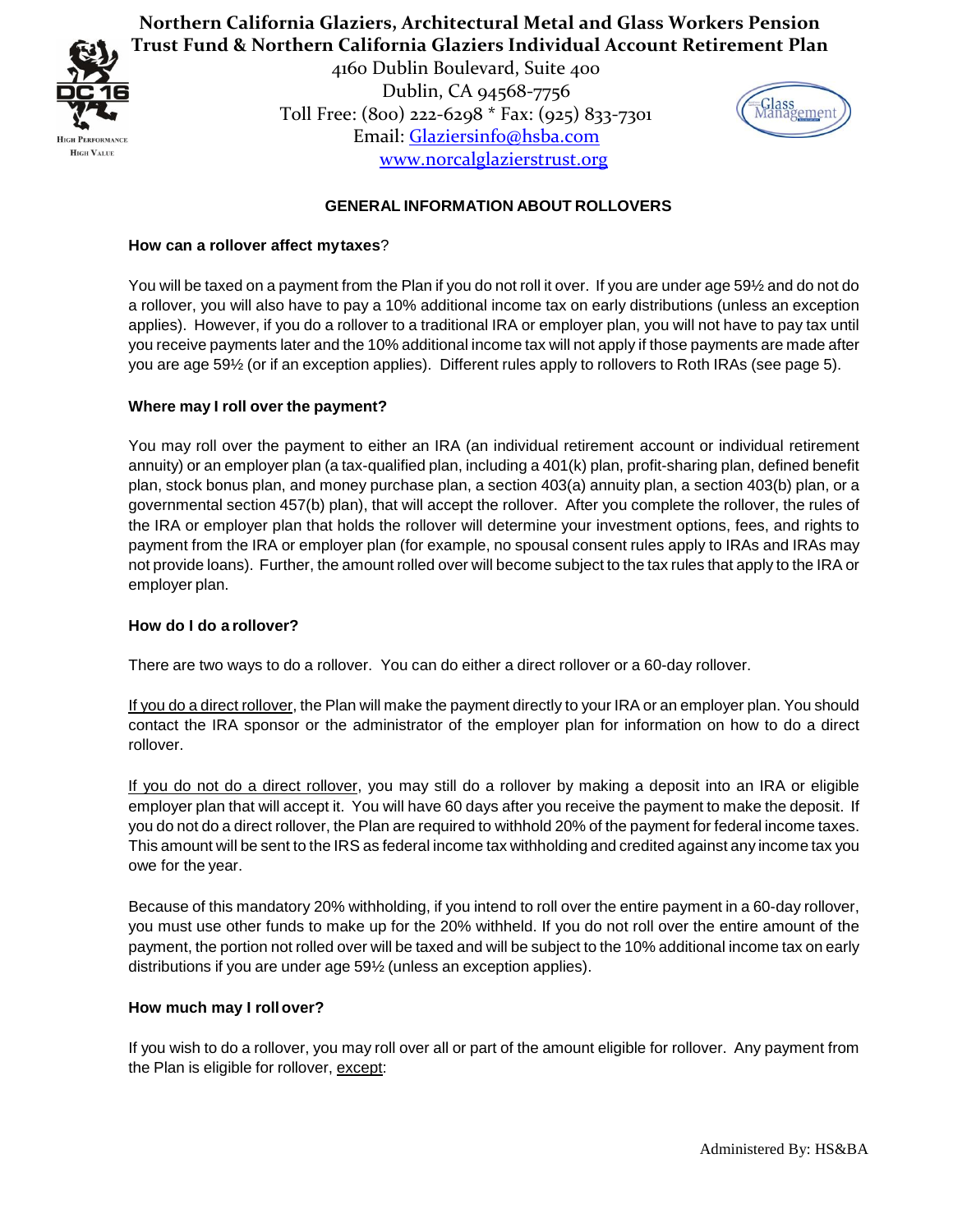

> 4160 Dublin Boulevard, Suite 400 Dublin, CA 94568-7756 Toll Free: (800) 222-6298 \* Fax: (925) 833-7301 Email: Glaziersinfo@hsba.com www.norcalglazierstrust.org



# **GENERAL INFORMATION ABOUT ROLLOVERS**

### <span id="page-1-1"></span><span id="page-1-0"></span>**How can a rollover affect mytaxes**?

You will be taxed on a payment from the Plan if you do not roll it over. If you are under age 59½ and do not do a rollover, you will also have to pay a 10% additional income tax on early distributions (unless an exception applies). However, if you do a rollover to a traditional IRA or employer plan, you will not have to pay tax until you receive payments later and the 10% additional income tax will not apply if those payments are made after you are age 59½ (or if an exception applies). Different rules apply to rollovers to Roth IRAs (see page 5).

### <span id="page-1-2"></span>**Where may I roll over the payment?**

You may roll over the payment to either an IRA (an individual retirement account or individual retirement annuity) or an employer plan (a tax-qualified plan, including a 401(k) plan, profit-sharing plan, defined benefit plan, stock bonus plan, and money purchase plan, a section 403(a) annuity plan, a section 403(b) plan, or a governmental section 457(b) plan), that will accept the rollover. After you complete the rollover, the rules of the IRA or employer plan that holds the rollover will determine your investment options, fees, and rights to payment from the IRA or employer plan (for example, no spousal consent rules apply to IRAs and IRAs may not provide loans). Further, the amount rolled over will become subject to the tax rules that apply to the IRA or employer plan.

#### <span id="page-1-3"></span>**How do I do a rollover?**

There are two ways to do a rollover. You can do either a direct rollover or a 60-day rollover.

If you do a direct rollover, the Plan will make the payment directly to your IRA or an employer plan. You should contact the IRA sponsor or the administrator of the employer plan for information on how to do a direct rollover.

If you do not do a direct rollover, you may still do a rollover by making a deposit into an IRA or eligible employer plan that will accept it. You will have 60 days after you receive the payment to make the deposit. If you do not do a direct rollover, the Plan are required to withhold 20% of the payment for federal income taxes. This amount will be sent to the IRS as federal income tax withholding and credited against any income tax you owe for the year.

Because of this mandatory 20% withholding, if you intend to roll over the entire payment in a 60-day rollover, you must use other funds to make up for the 20% withheld. If you do not roll over the entire amount of the payment, the portion not rolled over will be taxed and will be subject to the 10% additional income tax on early distributions if you are under age 59½ (unless an exception applies).

#### <span id="page-1-4"></span>**How much may I rollover?**

If you wish to do a rollover, you may roll over all or part of the amount eligible for rollover. Any payment from the Plan is eligible for rollover, except: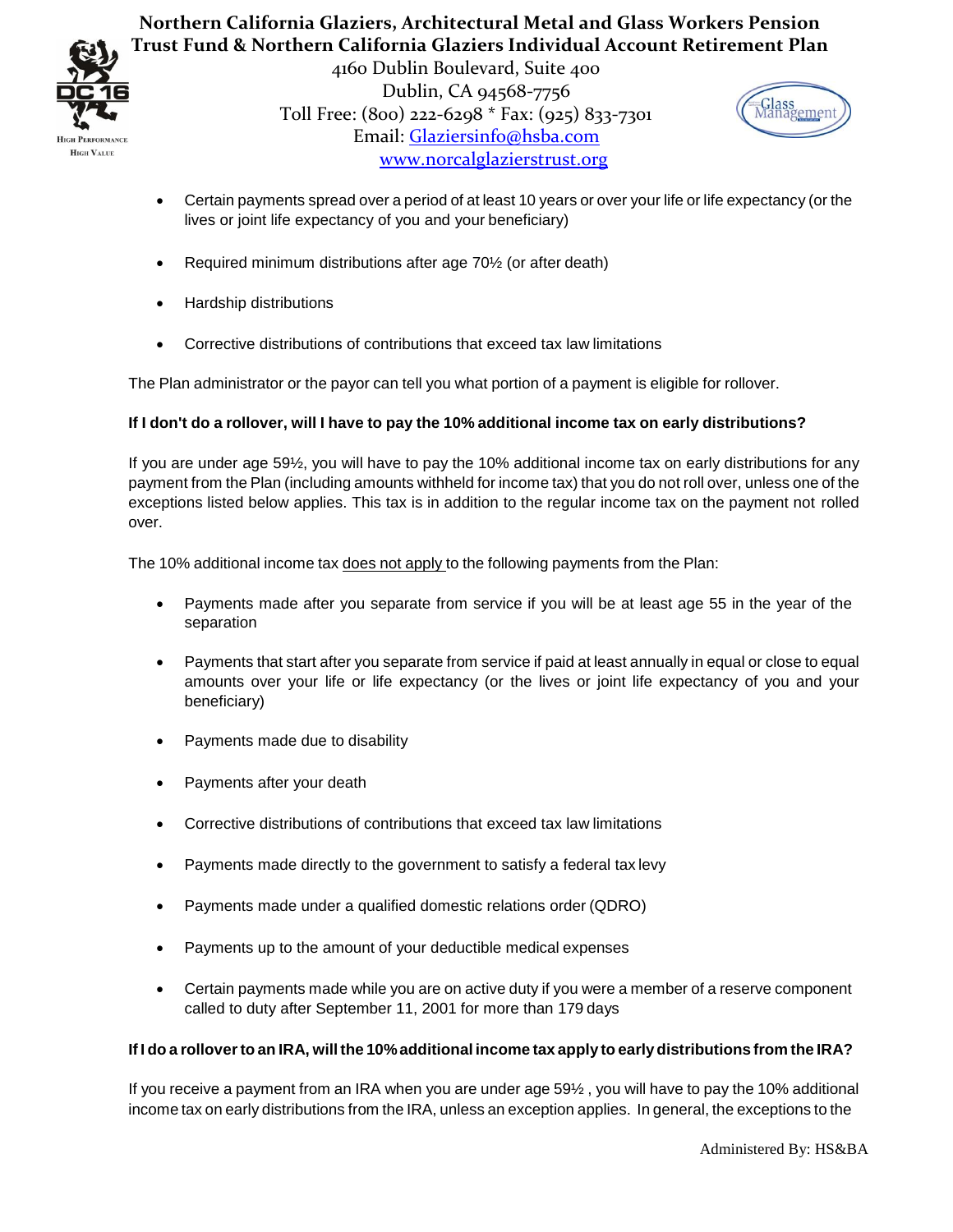

> 4160 Dublin Boulevard, Suite 400 Dublin, CA 94568-7756 Toll Free: (800) 222-6298 \* Fax: (925) 833-7301 Email: Glaziersinfo@hsba.com www.norcalglazierstrust.org



- Certain payments spread over a period of at least 10 years or over your life or life expectancy (or the lives or joint life expectancy of you and your beneficiary)
- Required minimum distributions after age 70½ (or after death)
- Hardship distributions
- Corrective distributions of contributions that exceed tax law limitations

The Plan administrator or the payor can tell you what portion of a payment is eligible for rollover.

## If I don't do a rollover, will I have to pay the 10% additional income tax on early distributions?

If you are under age 59½, you will have to pay the 10% additional income tax on early distributions for any payment from the Plan (including amounts withheld for income tax) that you do not roll over, unless one of the exceptions listed below applies. This tax is in addition to the regular income tax on the payment not rolled over.

The 10% additional income tax does not apply to the following payments from the Plan:

- Payments made after you separate from service if you will be at least age 55 in the year of the separation
- Payments that start after you separate from service if paid at least annually in equal or close to equal amounts over your life or life expectancy (or the lives or joint life expectancy of you and your beneficiary)
- Payments made due to disability
- Payments after your death
- Corrective distributions of contributions that exceed tax law limitations
- Payments made directly to the government to satisfy a federal tax levy
- Payments made under a qualified domestic relations order (QDRO)
- Payments up to the amount of your deductible medical expenses
- Certain payments made while you are on active duty if you were a member of a reserve component called to duty after September 11, 2001 for more than 179 days

#### If I do a rollover to an IRA, will the 10% additional income tax apply to early distributions from the IRA?

If you receive a payment from an IRA when you are under age 59½ , you will have to pay the 10% additional income tax on early distributions from the IRA, unless an exception applies. In general, the exceptions to the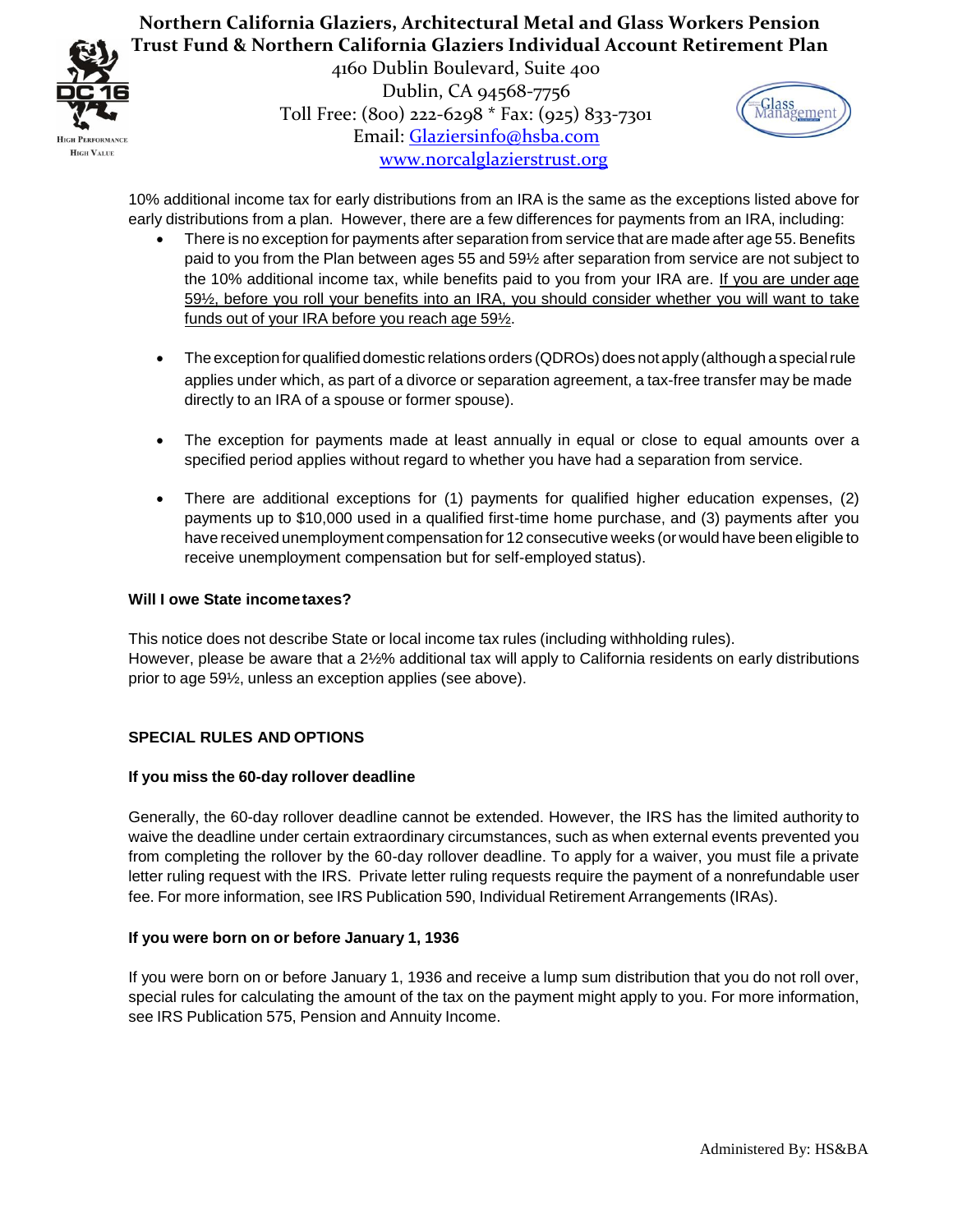



4160 Dublin Boulevard, Suite 400 Dublin, CA 94568-7756 Toll Free: (800) 222-6298 \* Fax: (925) 833-7301 Email: Glaziersinfo@hsba.com www.norcalglazierstrust.org



10% additional income tax for early distributions from an IRA is the same as the exceptions listed above for early distributions from a plan. However, there are a few differences for payments from an IRA, including:

- There is no exception for payments after separation from service that are made after age 55. Benefits paid to you from the Plan between ages 55 and 59½ after separation from service are not subject to the 10% additional income tax, while benefits paid to you from your IRA are. If you are under age 59½, before you roll your benefits into an IRA, you should consider whether you will want to take funds out of your IRA before you reach age 59½.
- The exception for qualified domestic relations orders (QDROs) does not apply (although a special rule applies under which, as part of a divorce or separation agreement, a tax-free transfer may be made directly to an IRA of a spouse or former spouse).
- The exception for payments made at least annually in equal or close to equal amounts over a specified period applies without regard to whether you have had a separation from service.
- There are additional exceptions for (1) payments for qualified higher education expenses, (2) payments up to \$10,000 used in a qualified first-time home purchase, and (3) payments after you have received unemployment compensation for 12 consecutive weeks (or would have been eligible to receive unemployment compensation but for self-employed status).

## <span id="page-3-0"></span>**Will I owe State incometaxes?**

This notice does not describe State or local income tax rules (including withholding rules). However, please be aware that a 2½% additional tax will apply to California residents on early distributions prior to age 59½, unless an exception applies (see above).

## <span id="page-3-1"></span>**SPECIAL RULES AND OPTIONS**

#### <span id="page-3-2"></span>**If you miss the 60-day rollover deadline**

Generally, the 60-day rollover deadline cannot be extended. However, the IRS has the limited authority to waive the deadline under certain extraordinary circumstances, such as when external events prevented you from completing the rollover by the 60-day rollover deadline. To apply for a waiver, you must file a private letter ruling request with the IRS. Private letter ruling requests require the payment of a nonrefundable user fee. For more information, see IRS Publication 590, Individual Retirement Arrangements (IRAs).

## <span id="page-3-3"></span>**If you were born on or before January 1, 1936**

<span id="page-3-4"></span>If you were born on or before January 1, 1936 and receive a lump sum distribution that you do not roll over, special rules for calculating the amount of the tax on the payment might apply to you. For more information, see IRS Publication 575, Pension and Annuity Income.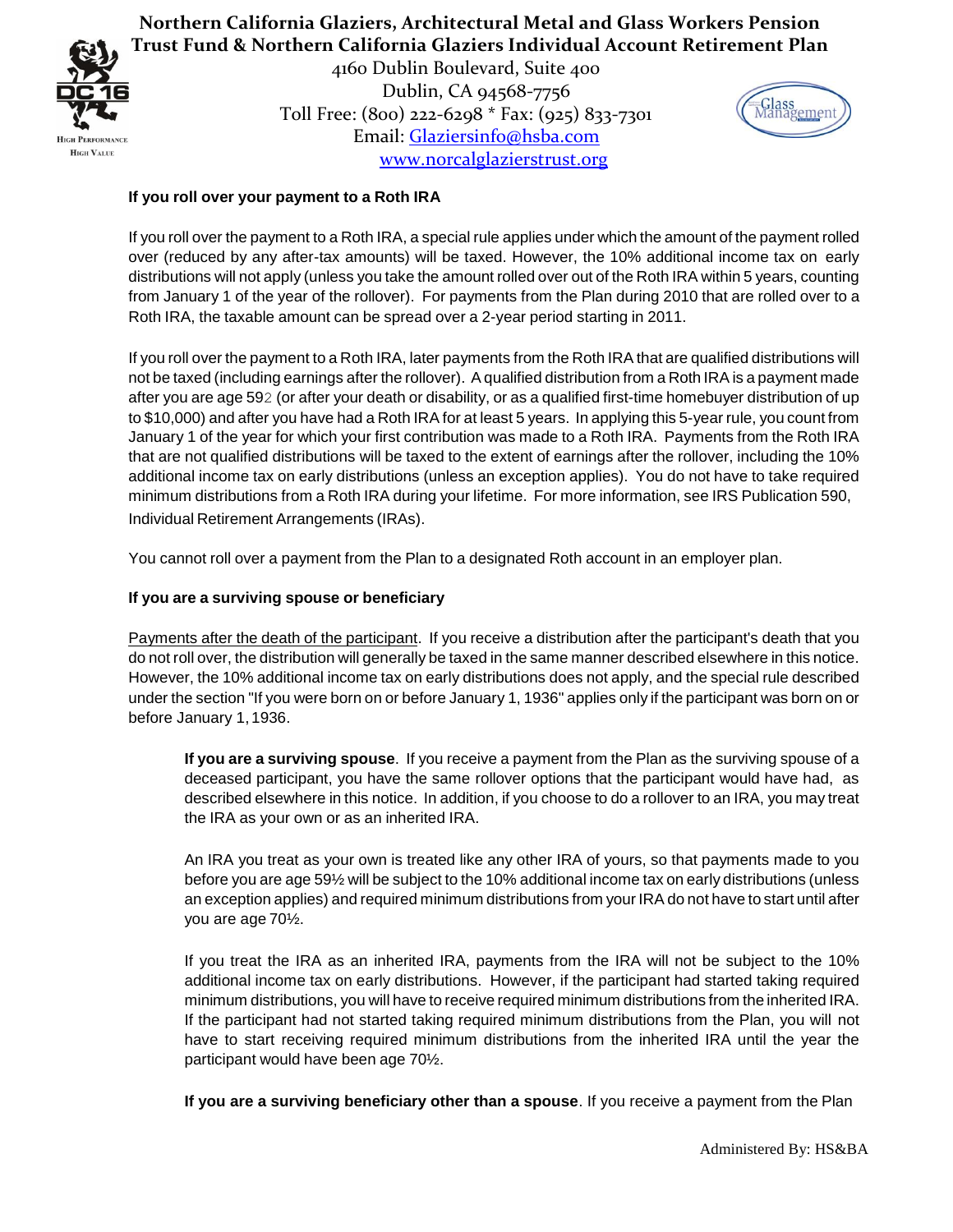

> 4160 Dublin Boulevard, Suite 400 Dublin, CA 94568-7756 Toll Free: (800) 222-6298 \* Fax: (925) 833-7301 Email: Glaziersinfo@hsba.com www.norcalglazierstrust.org



## **If you roll over your payment to a Roth IRA**

If you roll over the payment to a Roth IRA, a special rule applies under which the amount of the payment rolled over (reduced by any after-tax amounts) will be taxed. However, the 10% additional income tax on early distributions will not apply (unless you take the amount rolled over out of the Roth IRA within 5 years, counting from January 1 of the year of the rollover). For payments from the Plan during 2010 that are rolled over to a Roth IRA, the taxable amount can be spread over a 2-year period starting in 2011.

If you roll over the payment to a Roth IRA, later payments from the Roth IRA that are qualified distributions will not be taxed (including earnings after the rollover). A qualified distribution from a Roth IRA is a payment made after you are age 592 (or after your death or disability, or as a qualified first-time homebuyer distribution of up to \$10,000) and after you have had a Roth IRA for at least 5 years. In applying this 5-year rule, you count from January 1 of the year for which your first contribution was made to a Roth IRA. Payments from the Roth IRA that are not qualified distributions will be taxed to the extent of earnings after the rollover, including the 10% additional income tax on early distributions (unless an exception applies). You do not have to take required minimum distributions from a Roth IRA during your lifetime. For more information, see IRS Publication 590, Individual Retirement Arrangements (IRAs).

You cannot roll over a payment from the Plan to a designated Roth account in an employer plan.

### <span id="page-4-0"></span>**If you are a surviving spouse or beneficiary**

Payments after the death of the participant. If you receive a distribution after the participant's death that you do not roll over, the distribution will generally be taxed in the same manner described elsewhere in this notice. However, the 10% additional income tax on early distributions does not apply, and the special rule described under the section "If you were born on or before January 1, 1936" applies only if the participant was born on or before January 1,1936.

**If you are a surviving spouse**. If you receive a payment from the Plan as the surviving spouse of a deceased participant, you have the same rollover options that the participant would have had, as described elsewhere in this notice. In addition, if you choose to do a rollover to an IRA, you may treat the IRA as your own or as an inherited IRA.

An IRA you treat as your own is treated like any other IRA of yours, so that payments made to you before you are age 59½ will be subject to the 10% additional income tax on early distributions (unless an exception applies) and required minimum distributions from your IRA do not have to start until after you are age 70½.

If you treat the IRA as an inherited IRA, payments from the IRA will not be subject to the 10% additional income tax on early distributions. However, if the participant had started taking required minimum distributions, you will have to receive required minimum distributions from the inherited IRA. If the participant had not started taking required minimum distributions from the Plan, you will not have to start receiving required minimum distributions from the inherited IRA until the year the participant would have been age 70½.

**If you are a surviving beneficiary other than a spouse**. If you receive a payment from the Plan